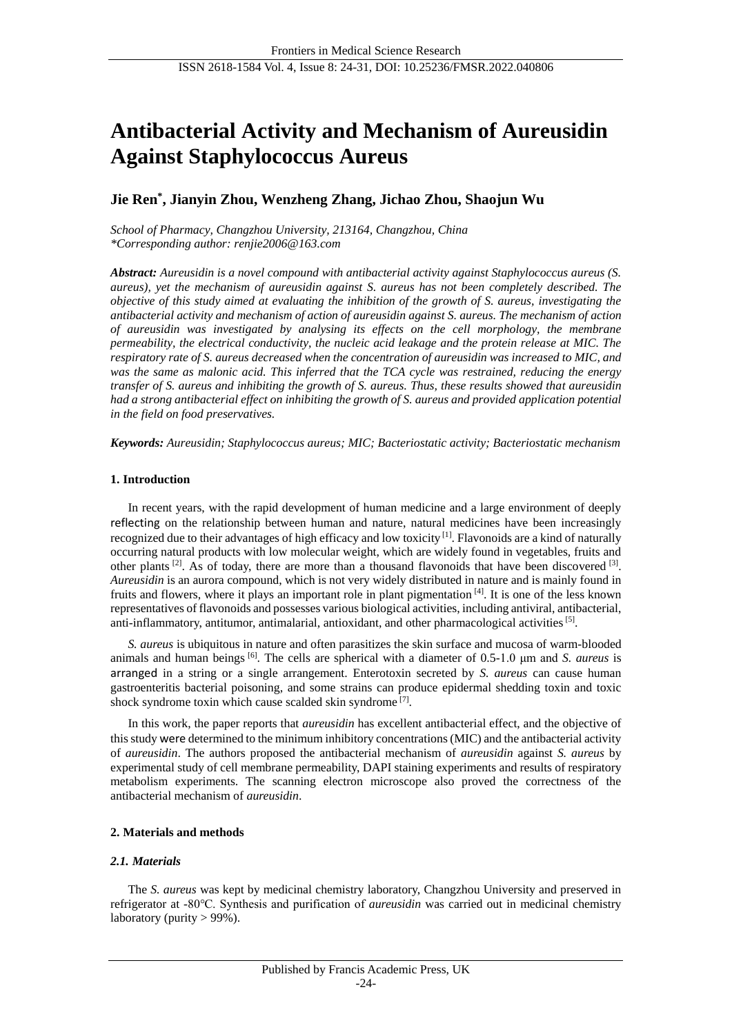# **Antibacterial Activity and Mechanism of Aureusidin Against Staphylococcus Aureus**

# **Jie Ren\* , Jianyin Zhou, Wenzheng Zhang, Jichao Zhou, Shaojun Wu**

*School of Pharmacy, Changzhou University, 213164, Changzhou, China \*Corresponding author: [renjie2006@163.com](mailto:renjie2006@163.com)*

*Abstract: Aureusidin is a novel compound with antibacterial activity against Staphylococcus aureus (S. aureus), yet the mechanism of aureusidin against S. aureus has not been completely described. The objective of this study aimed at evaluating the inhibition of the growth of S. aureus, investigating the antibacterial activity and mechanism of action of aureusidin against S. aureus. The mechanism of action of aureusidin was investigated by analysing its effects on the cell morphology, the membrane permeability, the electrical conductivity, the nucleic acid leakage and the protein release at MIC. The respiratory rate of S. aureus decreased when the concentration of aureusidin was increased to MIC, and was the same as malonic acid. This inferred that the TCA cycle was restrained, reducing the energy transfer of S. aureus and inhibiting the growth of S. aureus. Thus, these results showed that aureusidin had a strong antibacterial effect on inhibiting the growth of S. aureus and provided application potential in the field on food preservatives.*

*Keywords: Aureusidin; Staphylococcus aureus; MIC; Bacteriostatic activity; Bacteriostatic mechanism*

# **1. Introduction**

In recent years, with the rapid development of human medicine and a large environment of deeply reflecting on the relationship between human and nature, natural medicines have been increasingly recognized due to their advantages of high efficacy and low toxicity [1]. Flavonoids are a kind of naturally occurring natural products with low molecular weight, which are widely found in vegetables, fruits and other plants  $[2]$ . As of today, there are more than a thousand flavonoids that have been discovered  $[3]$ . *Aureusidin* is an aurora compound, which is not very widely distributed in nature and is mainly found in fruits and flowers, where it plays an important role in plant pigmentation [4]. It is one of the less known representatives of flavonoids and possesses various biological activities, including antiviral, antibacterial, anti-inflammatory, antitumor, antimalarial, antioxidant, and other pharmacological activities<sup>[5]</sup>.

*S. aureus* is ubiquitous in nature and often parasitizes the skin surface and mucosa of warm-blooded animals and human beings [6]. The cells are spherical with a diameter of 0.5-1.0 μm and *S. aureus* is arranged in a string or a single arrangement. Enterotoxin secreted by *S. aureus* can cause human gastroenteritis bacterial poisoning, and some strains can produce epidermal shedding toxin and toxic shock syndrome toxin which cause scalded skin syndrome<sup>[7]</sup>.

In this work, the paper reports that *aureusidin* has excellent antibacterial effect, and the objective of this study were determined to the minimum inhibitory concentrations (MIC) and the antibacterial activity of *aureusidin*. The authors proposed the antibacterial mechanism of *aureusidin* against *S. aureus* by experimental study of cell membrane permeability, DAPI staining experiments and results of respiratory metabolism experiments. The scanning electron microscope also proved the correctness of the antibacterial mechanism of *aureusidin*.

# **2. Materials and methods**

# *2.1. Materials*

The *S. aureus* was kept by medicinal chemistry laboratory, Changzhou University and preserved in refrigerator at -80℃. Synthesis and purification of *aureusidin* was carried out in medicinal chemistry laboratory (purity  $> 99\%$ ).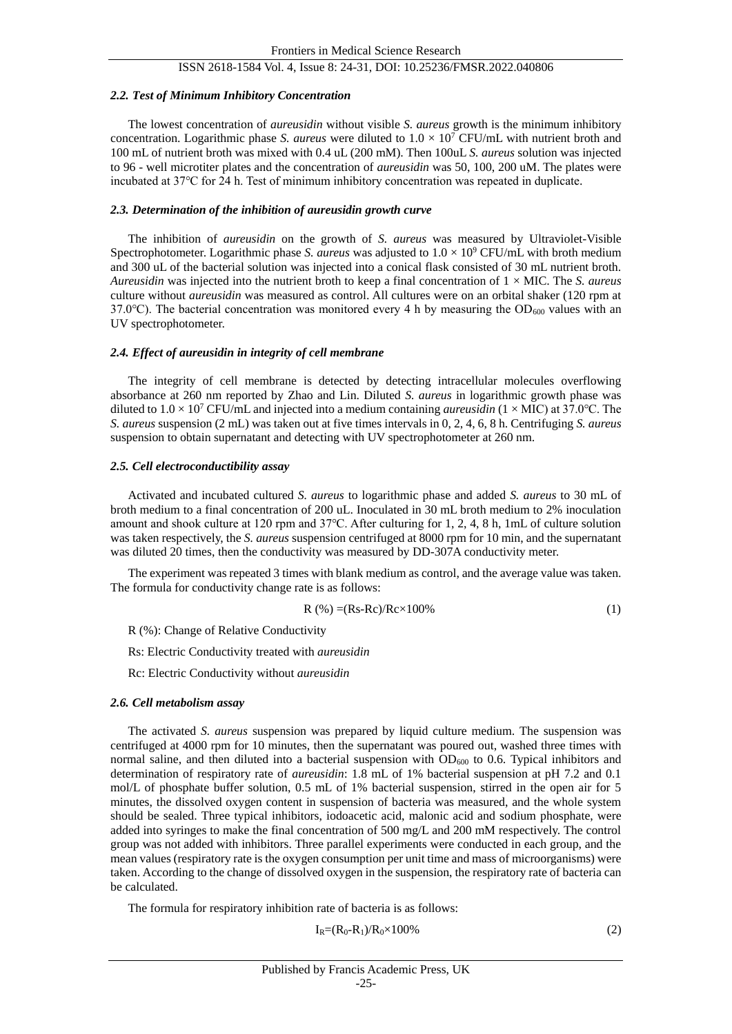#### *2.2. Test of Minimum Inhibitory Concentration*

The lowest concentration of *aureusidin* without visible *S. aureus* growth is the minimum inhibitory concentration. Logarithmic phase *S. aureus* were diluted to  $1.0 \times 10^7$  CFU/mL with nutrient broth and 100 mL of nutrient broth was mixed with 0.4 uL (200 mM). Then 100uL *S. aureus* solution was injected to 96 - well microtiter plates and the concentration of *aureusidin* was 50, 100, 200 uM. The plates were incubated at 37℃ for 24 h. Test of minimum inhibitory concentration was repeated in duplicate.

# *2.3. Determination of the inhibition of aureusidin growth curve*

The inhibition of *aureusidin* on the growth of *S. aureus* was measured by Ultraviolet-Visible Spectrophotometer. Logarithmic phase *S. aureus* was adjusted to 1.0 × 10<sup>9</sup> CFU/mL with broth medium and 300 uL of the bacterial solution was injected into a conical flask consisted of 30 mL nutrient broth. *Aureusidin* was injected into the nutrient broth to keep a final concentration of 1 × MIC. The *S. aureus*  culture without *aureusidin* was measured as control. All cultures were on an orbital shaker (120 rpm at 37.0 $\degree$ C). The bacterial concentration was monitored every 4 h by measuring the OD<sub>600</sub> values with an UV spectrophotometer.

#### *2.4. Effect of aureusidin in integrity of cell membrane*

The integrity of cell membrane is detected by detecting intracellular molecules overflowing absorbance at 260 nm reported by Zhao and Lin. Diluted *S. aureus* in logarithmic growth phase was diluted to 1.0 ×10<sup>7</sup> CFU/mL and injected into a medium containing *aureusidin* (1 ×MIC) at 37.0℃. The *S. aureus* suspension (2 mL) was taken out at five times intervals in 0, 2, 4, 6, 8 h. Centrifuging *S. aureus*  suspension to obtain supernatant and detecting with UV spectrophotometer at 260 nm.

#### *2.5. Cell electroconductibility assay*

Activated and incubated cultured *S. aureus* to logarithmic phase and added *S. aureus* to 30 mL of broth medium to a final concentration of 200 uL. Inoculated in 30 mL broth medium to 2% inoculation amount and shook culture at 120 rpm and 37℃. After culturing for 1, 2, 4, 8 h, 1mL of culture solution was taken respectively, the *S. aureus* suspension centrifuged at 8000 rpm for 10 min, and the supernatant was diluted 20 times, then the conductivity was measured by DD-307A conductivity meter.

The experiment was repeated 3 times with blank medium as control, and the average value was taken. The formula for conductivity change rate is as follows:

$$
R(\%) = (Rs - RC)/Rc \times 100\% \tag{1}
$$

R (%): Change of Relative Conductivity

Rs: Electric Conductivity treated with *aureusidin*

Rc: Electric Conductivity without *aureusidin*

#### *2.6. Cell metabolism assay*

The activated *S. aureus* suspension was prepared by liquid culture medium. The suspension was centrifuged at 4000 rpm for 10 minutes, then the supernatant was poured out, washed three times with normal saline, and then diluted into a bacterial suspension with  $OD_{600}$  to 0.6. Typical inhibitors and determination of respiratory rate of *aureusidin*: 1.8 mL of 1% bacterial suspension at pH 7.2 and 0.1 mol/L of phosphate buffer solution, 0.5 mL of 1% bacterial suspension, stirred in the open air for 5 minutes, the dissolved oxygen content in suspension of bacteria was measured, and the whole system should be sealed. Three typical inhibitors, iodoacetic acid, malonic acid and sodium phosphate, were added into syringes to make the final concentration of 500 mg/L and 200 mM respectively. The control group was not added with inhibitors. Three parallel experiments were conducted in each group, and the mean values (respiratory rate is the oxygen consumption per unit time and mass of microorganisms) were taken. According to the change of dissolved oxygen in the suspension, the respiratory rate of bacteria can be calculated.

The formula for respiratory inhibition rate of bacteria is as follows:

$$
I_R = (R_0 - R_1)/R_0 \times 100\%
$$
 (2)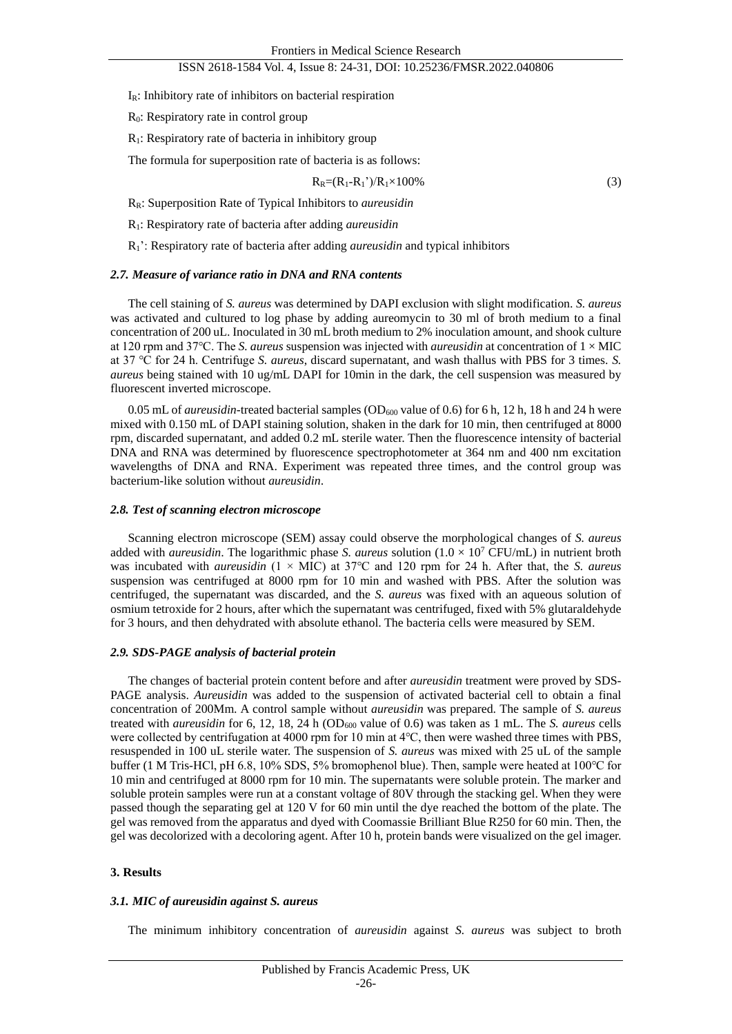$I_R$ : Inhibitory rate of inhibitors on bacterial respiration

R<sub>0</sub>: Respiratory rate in control group

R1: Respiratory rate of bacteria in inhibitory group

The formula for superposition rate of bacteria is as follows:

$$
R_R = (R_1 - R_1^{\prime\prime})/R_1 \times 100\%
$$
\n
$$
\tag{3}
$$

RR: Superposition Rate of Typical Inhibitors to *aureusidin*

R1: Respiratory rate of bacteria after adding *aureusidin*

R1': Respiratory rate of bacteria after adding *aureusidin* and typical inhibitors

#### *2.7. Measure of variance ratio in DNA and RNA contents*

The cell staining of *S. aureus* was determined by DAPI exclusion with slight modification. *S. aureus*  was activated and cultured to log phase by adding aureomycin to 30 ml of broth medium to a final concentration of 200 uL. Inoculated in 30 mL broth medium to 2% inoculation amount, and shook culture at 120 rpm and 37℃. The *S. aureus* suspension was injected with *aureusidin* at concentration of 1 × MIC at 37 ℃ for 24 h. Centrifuge *S. aureus*, discard supernatant, and wash thallus with PBS for 3 times. *S. aureus* being stained with 10 ug/mL DAPI for 10min in the dark, the cell suspension was measured by fluorescent inverted microscope.

0.05 mL of *aureusidin*-treated bacterial samples (OD<sub>600</sub> value of 0.6) for 6 h, 12 h, 18 h and 24 h were mixed with 0.150 mL of DAPI staining solution, shaken in the dark for 10 min, then centrifuged at 8000 rpm, discarded supernatant, and added 0.2 mL sterile water. Then the fluorescence intensity of bacterial DNA and RNA was determined by fluorescence spectrophotometer at 364 nm and 400 nm excitation wavelengths of DNA and RNA. Experiment was repeated three times, and the control group was bacterium-like solution without *aureusidin*.

#### *2.8. Test of scanning electron microscope*

Scanning electron microscope (SEM) assay could observe the morphological changes of *S. aureus*  added with *aureusidin*. The logarithmic phase *S. aureus* solution  $(1.0 \times 10^7 \text{ CFU/mL})$  in nutrient broth was incubated with *aureusidin* (1 × MIC) at 37℃ and 120 rpm for 24 h. After that, the *S. aureus*  suspension was centrifuged at 8000 rpm for 10 min and washed with PBS. After the solution was centrifuged, the supernatant was discarded, and the *S. aureus* was fixed with an aqueous solution of osmium tetroxide for 2 hours, after which the supernatant was centrifuged, fixed with 5% glutaraldehyde for 3 hours, and then dehydrated with absolute ethanol. The bacteria cells were measured by SEM.

# *2.9. SDS-PAGE analysis of bacterial protein*

The changes of bacterial protein content before and after *aureusidin* treatment were proved by SDS-PAGE analysis. *Aureusidin* was added to the suspension of activated bacterial cell to obtain a final concentration of 200Mm. A control sample without *aureusidin* was prepared. The sample of *S. aureus*  treated with *aureusidin* for 6, 12, 18, 24 h (OD<sub>600</sub> value of 0.6) was taken as 1 mL. The *S. aureus* cells were collected by centrifugation at 4000 rpm for 10 min at 4℃, then were washed three times with PBS, resuspended in 100 uL sterile water. The suspension of *S. aureus* was mixed with 25 uL of the sample buffer (1 M Tris-HCl, pH 6.8, 10% SDS, 5% bromophenol blue). Then, sample were heated at 100℃ for 10 min and centrifuged at 8000 rpm for 10 min. The supernatants were soluble protein. The marker and soluble protein samples were run at a constant voltage of 80V through the stacking gel. When they were passed though the separating gel at 120 V for 60 min until the dye reached the bottom of the plate. The gel was removed from the apparatus and dyed with Coomassie Brilliant Blue R250 for 60 min. Then, the gel was decolorized with a decoloring agent. After 10 h, protein bands were visualized on the gel imager.

#### **3. Results**

# *3.1. MIC of aureusidin against S. aureus*

The minimum inhibitory concentration of *aureusidin* against *S. aureus* was subject to broth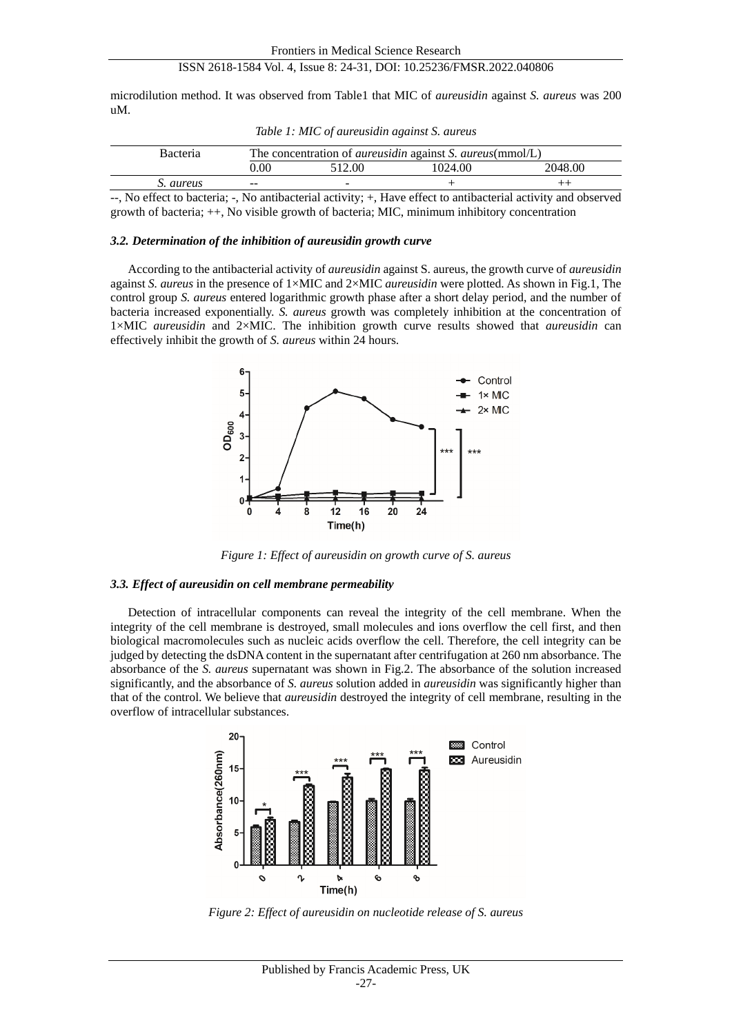microdilution method. It was observed from Table1 that MIC of *aureusidin* against *S. aureus* was 200 uM.

| <b>Bacteria</b> | The concentration of <i>aureusidin</i> against <i>S. aureus</i> (mmol/L) |                          |         |         |  |
|-----------------|--------------------------------------------------------------------------|--------------------------|---------|---------|--|
|                 | 0.00                                                                     | 512.00                   | 1024.00 | 2048.00 |  |
| S. aureus       | $- -$                                                                    | $\overline{\phantom{a}}$ |         |         |  |

*Table 1: MIC of aureusidin against S. aureus*

--, No effect to bacteria; -, No antibacterial activity; +, Have effect to antibacterial activity and observed growth of bacteria; ++, No visible growth of bacteria; MIC, minimum inhibitory concentration

#### *3.2. Determination of the inhibition of aureusidin growth curve*

According to the antibacterial activity of *aureusidin* against S. aureus, the growth curve of *aureusidin* against *S. aureus* in the presence of 1×MIC and 2×MIC *aureusidin* were plotted. As shown in Fig.1, The control group *S. aureus* entered logarithmic growth phase after a short delay period, and the number of bacteria increased exponentially. *S. aureus* growth was completely inhibition at the concentration of 1×MIC *aureusidin* and 2×MIC. The inhibition growth curve results showed that *aureusidin* can effectively inhibit the growth of *S. aureus* within 24 hours.



*Figure 1: Effect of aureusidin on growth curve of S. aureus*

#### *3.3. Effect of aureusidin on cell membrane permeability*

Detection of intracellular components can reveal the integrity of the cell membrane. When the integrity of the cell membrane is destroyed, small molecules and ions overflow the cell first, and then biological macromolecules such as nucleic acids overflow the cell. Therefore, the cell integrity can be judged by detecting the dsDNA content in the supernatant after centrifugation at 260 nm absorbance. The absorbance of the *S. aureus* supernatant was shown in Fig.2. The absorbance of the solution increased significantly, and the absorbance of *S. aureus* solution added in *aureusidin* was significantly higher than that of the control. We believe that *aureusidin* destroyed the integrity of cell membrane, resulting in the overflow of intracellular substances.



*Figure 2: Effect of aureusidin on nucleotide release of S. aureus*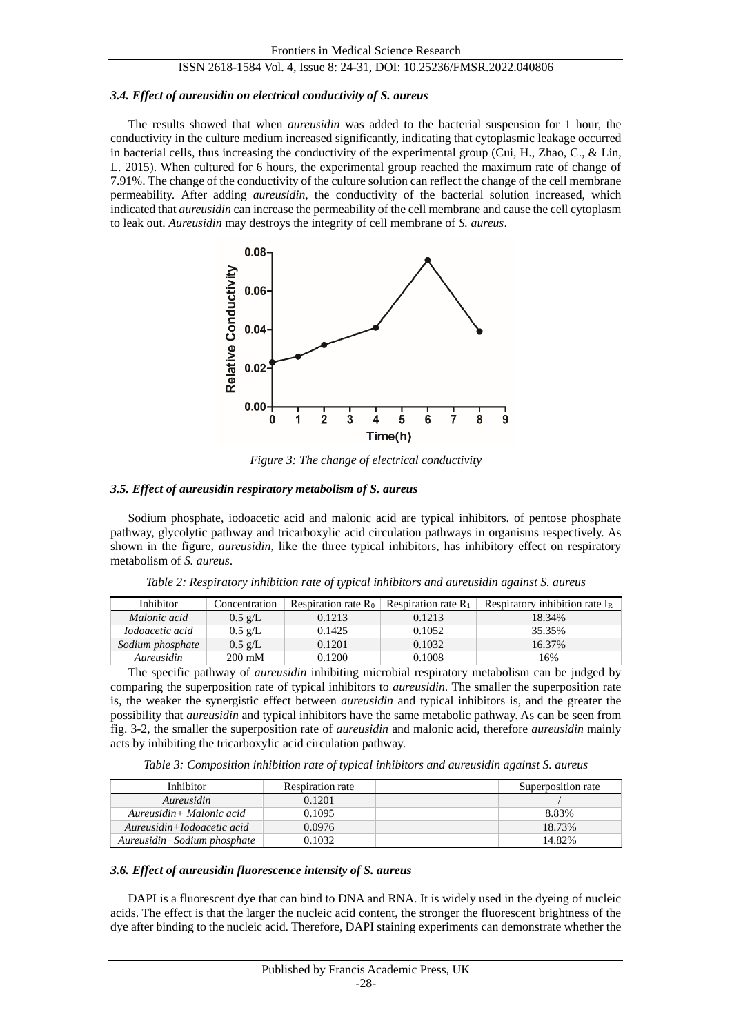## *3.4. Effect of aureusidin on electrical conductivity of S. aureus*

The results showed that when *aureusidin* was added to the bacterial suspension for 1 hour, the conductivity in the culture medium increased significantly, indicating that cytoplasmic leakage occurred in bacterial cells, thus increasing the conductivity of the experimental group (Cui, H., Zhao, C., & Lin, L. 2015). When cultured for 6 hours, the experimental group reached the maximum rate of change of 7.91%. The change of the conductivity of the culture solution can reflect the change of the cell membrane permeability. After adding *aureusidin*, the conductivity of the bacterial solution increased, which indicated that *aureusidin* can increase the permeability of the cell membrane and cause the cell cytoplasm to leak out. *Aureusidin* may destroys the integrity of cell membrane of *S. aureus*.



*Figure 3: The change of electrical conductivity* 

## *3.5. Effect of aureusidin respiratory metabolism of S. aureus*

Sodium phosphate, iodoacetic acid and malonic acid are typical inhibitors. of pentose phosphate pathway, glycolytic pathway and tricarboxylic acid circulation pathways in organisms respectively. As shown in the figure, *aureusidin*, like the three typical inhibitors, has inhibitory effect on respiratory metabolism of *S. aureus*.

| <b>Inhibitor</b>       | Concentration     | Respiration rate $R_0$ | Respiration rate $R_1$ | Respiratory inhibition rate $I_R$ |
|------------------------|-------------------|------------------------|------------------------|-----------------------------------|
| Malonic acid           | $0.5 \text{ g/L}$ | 0.1213                 | 0.1213                 | 18.34%                            |
| <i>Iodoacetic acid</i> | $0.5 \text{ g/L}$ | 0.1425                 | 0.1052                 | 35.35%                            |
| Sodium phosphate       | $0.5 \text{ g/L}$ | 0.1201                 | 0.1032                 | 16.37%                            |
| Aureusidin             | $200 \text{ mM}$  | 0.1200                 | 0.1008                 | 16%                               |

*Table 2: Respiratory inhibition rate of typical inhibitors and aureusidin against S. aureus*

The specific pathway of *aureusidin* inhibiting microbial respiratory metabolism can be judged by comparing the superposition rate of typical inhibitors to *aureusidin*. The smaller the superposition rate is, the weaker the synergistic effect between *aureusidin* and typical inhibitors is, and the greater the possibility that *aureusidin* and typical inhibitors have the same metabolic pathway. As can be seen from fig. 3-2, the smaller the superposition rate of *aureusidin* and malonic acid, therefore *aureusidin* mainly acts by inhibiting the tricarboxylic acid circulation pathway.

*Table 3: Composition inhibition rate of typical inhibitors and aureusidin against S. aureus*

| Inhibitor                   | <b>Respiration rate</b> | Superposition rate |
|-----------------------------|-------------------------|--------------------|
| Aureusidin                  | 0.1201                  |                    |
| Aureusidin+ Malonic acid    | 0.1095                  | 8.83%              |
| Aureusidin+Iodoacetic acid  | 0.0976                  | 18.73%             |
| Aureusidin+Sodium phosphate | 0.1032                  | 14.82%             |

## *3.6. Effect of aureusidin fluorescence intensity of S. aureus*

DAPI is a fluorescent dye that can bind to DNA and RNA. It is widely used in the dyeing of nucleic acids. The effect is that the larger the nucleic acid content, the stronger the fluorescent brightness of the dye after binding to the nucleic acid. Therefore, DAPI staining experiments can demonstrate whether the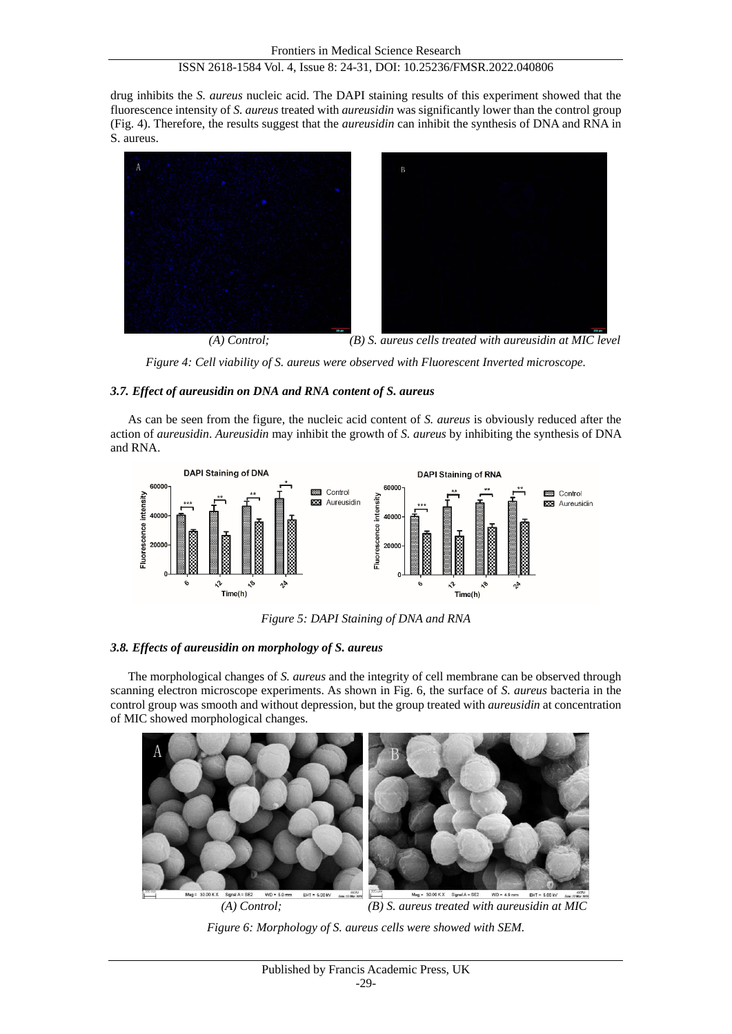drug inhibits the *S. aureus* nucleic acid. The DAPI staining results of this experiment showed that the fluorescence intensity of *S. aureus* treated with *aureusidin* was significantly lower than the control group (Fig. 4). Therefore, the results suggest that the *aureusidin* can inhibit the synthesis of DNA and RNA in S. aureus.



*(A) Control; (B) S. aureus cells treated with aureusidin at MIC level*

*Figure 4: Cell viability of S. aureus were observed with Fluorescent Inverted microscope.* 

# *3.7. Effect of aureusidin on DNA and RNA content of S. aureus*

As can be seen from the figure, the nucleic acid content of *S. aureus* is obviously reduced after the action of *aureusidin*. *Aureusidin* may inhibit the growth of *S. aureus* by inhibiting the synthesis of DNA and RNA.



*Figure 5: DAPI Staining of DNA and RNA*

# *3.8. Effects of aureusidin on morphology of S. aureus*

The morphological changes of *S. aureus* and the integrity of cell membrane can be observed through scanning electron microscope experiments. As shown in Fig. 6, the surface of *S. aureus* bacteria in the control group was smooth and without depression, but the group treated with *aureusidin* at concentration of MIC showed morphological changes.



*Figure 6: Morphology of S. aureus cells were showed with SEM.*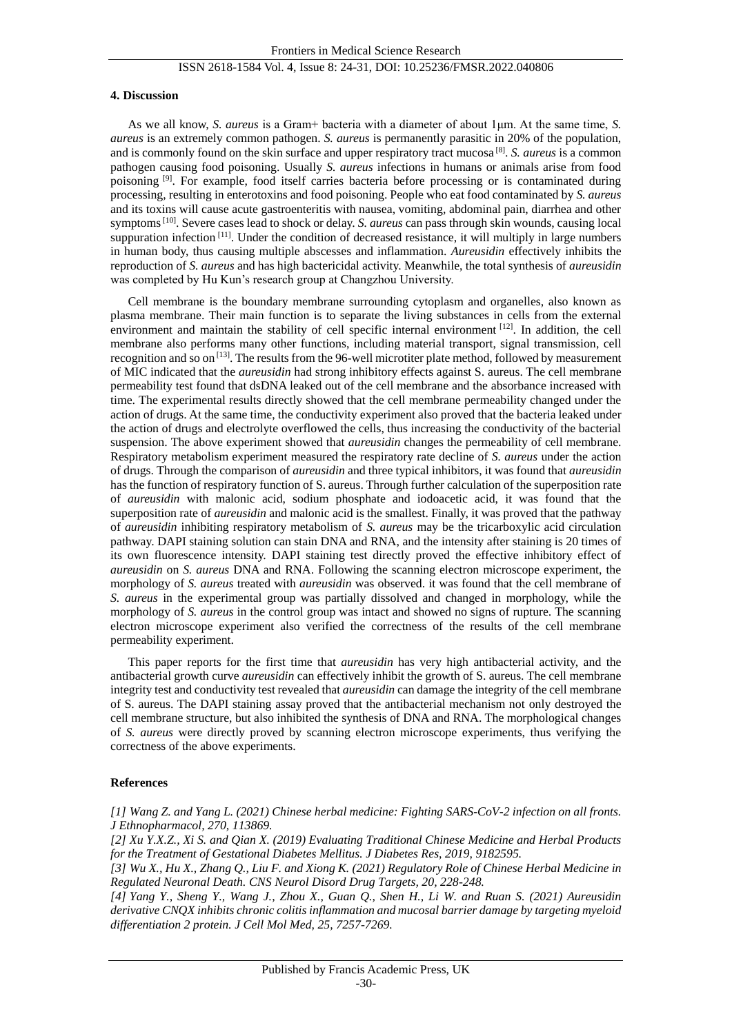## **4. Discussion**

As we all know, *S. aureus* is a Gram+ bacteria with a diameter of about 1μm. At the same time, *S. aureus* is an extremely common pathogen. *S. aureus* is permanently parasitic in 20% of the population, and is commonly found on the skin surface and upper respiratory tract mucosa [8] . *S. aureus* is a common pathogen causing food poisoning. Usually *S. aureus* infections in humans or animals arise from food poisoning [9]. For example, food itself carries bacteria before processing or is contaminated during processing, resulting in enterotoxins and food poisoning. People who eat food contaminated by *S. aureus*  and its toxins will cause acute gastroenteritis with nausea, vomiting, abdominal pain, diarrhea and other symptoms[10]. Severe cases lead to shock or delay. *S. aureus* can pass through skin wounds, causing local suppuration infection  $[11]$ . Under the condition of decreased resistance, it will multiply in large numbers in human body, thus causing multiple abscesses and inflammation. *Aureusidin* effectively inhibits the reproduction of *S. aureus* and has high bactericidal activity. Meanwhile, the total synthesis of *aureusidin* was completed by Hu Kun's research group at Changzhou University.

Cell membrane is the boundary membrane surrounding cytoplasm and organelles, also known as plasma membrane. Their main function is to separate the living substances in cells from the external environment and maintain the stability of cell specific internal environment  $[12]$ . In addition, the cell membrane also performs many other functions, including material transport, signal transmission, cell recognition and so on<sup>[13]</sup>. The results from the 96-well microtiter plate method, followed by measurement of MIC indicated that the *aureusidin* had strong inhibitory effects against S. aureus. The cell membrane permeability test found that dsDNA leaked out of the cell membrane and the absorbance increased with time. The experimental results directly showed that the cell membrane permeability changed under the action of drugs. At the same time, the conductivity experiment also proved that the bacteria leaked under the action of drugs and electrolyte overflowed the cells, thus increasing the conductivity of the bacterial suspension. The above experiment showed that *aureusidin* changes the permeability of cell membrane. Respiratory metabolism experiment measured the respiratory rate decline of *S. aureus* under the action of drugs. Through the comparison of *aureusidin* and three typical inhibitors, it was found that *aureusidin* has the function of respiratory function of S. aureus. Through further calculation of the superposition rate of *aureusidin* with malonic acid, sodium phosphate and iodoacetic acid, it was found that the superposition rate of *aureusidin* and malonic acid is the smallest. Finally, it was proved that the pathway of *aureusidin* inhibiting respiratory metabolism of *S. aureus* may be the tricarboxylic acid circulation pathway. DAPI staining solution can stain DNA and RNA, and the intensity after staining is 20 times of its own fluorescence intensity. DAPI staining test directly proved the effective inhibitory effect of *aureusidin* on *S. aureus* DNA and RNA. Following the scanning electron microscope experiment, the morphology of *S. aureus* treated with *aureusidin* was observed. it was found that the cell membrane of *S. aureus* in the experimental group was partially dissolved and changed in morphology, while the morphology of *S. aureus* in the control group was intact and showed no signs of rupture. The scanning electron microscope experiment also verified the correctness of the results of the cell membrane permeability experiment.

This paper reports for the first time that *aureusidin* has very high antibacterial activity, and the antibacterial growth curve *aureusidin* can effectively inhibit the growth of S. aureus. The cell membrane integrity test and conductivity test revealed that *aureusidin* can damage the integrity of the cell membrane of S. aureus. The DAPI staining assay proved that the antibacterial mechanism not only destroyed the cell membrane structure, but also inhibited the synthesis of DNA and RNA. The morphological changes of *S. aureus* were directly proved by scanning electron microscope experiments, thus verifying the correctness of the above experiments.

### **References**

*[1] Wang Z. and Yang L. (2021) Chinese herbal medicine: Fighting SARS-CoV-2 infection on all fronts. J Ethnopharmacol, 270, 113869.*

*[2] Xu Y.X.Z., Xi S. and Qian X. (2019) Evaluating Traditional Chinese Medicine and Herbal Products for the Treatment of Gestational Diabetes Mellitus. J Diabetes Res, 2019, 9182595.*

*[3] Wu X., Hu X., Zhang Q., Liu F. and Xiong K. (2021) Regulatory Role of Chinese Herbal Medicine in Regulated Neuronal Death. CNS Neurol Disord Drug Targets, 20, 228-248.*

*[4] Yang Y., Sheng Y., Wang J., Zhou X., Guan Q., Shen H., Li W. and Ruan S. (2021) Aureusidin derivative CNQX inhibits chronic colitis inflammation and mucosal barrier damage by targeting myeloid differentiation 2 protein. J Cell Mol Med, 25, 7257-7269.*